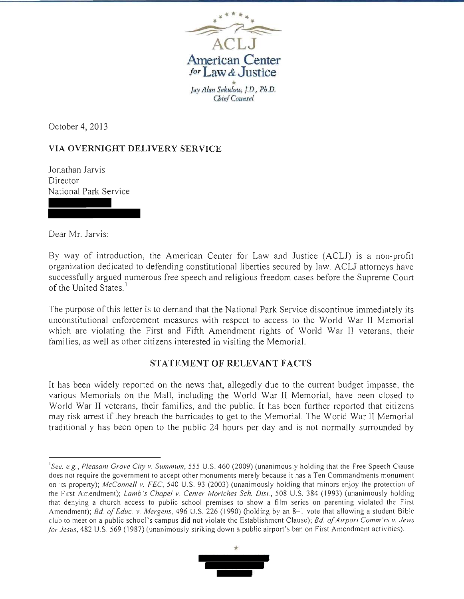

October 4,2013

# **VIA OVERNIGHT DELIVERY SERVICE**

Jonathan Jarvis Director National Park Service

Dear Mr. Jarvis:

By way of introduction, the American Center for Law and Justice (ACLJ) is a non-profit organization dedicated to defending constitutional liberties secured by law. ACLJ attorneys have successfully argued numerous free speech and religious freedom cases before the Supreme Court of the United States.<sup>1</sup>

The purpose of this letter is to demand that the National Park Service discontinue immediately its unconstitutional enforcement measures with respect to access to the World War II Memorial which are violating the First and Fifth Amendment rights of World War II veterans. their families, as well as other citizens interested in visiting the Memorial.

# **STATEMENT OF RELEVANT FACTS**

It has been widely reported on the news that, allegedly due to the current budget impasse, the various Memorials on the Mall, including the World War II Memorial, have been closed to World War II veterans, their families, and the public. It has been further reported that citizens may risk arrest if they breach the barricades to get to the Memorial. The World War II Memorial traditionally has been open to the public 24 hours per day and is not normally surrounded by

<sup>&</sup>lt;sup>1</sup>See, e.g., Pleasant Grove City v. Summum, 555 U.S. 460 (2009) (unanimously holding that the Free Speech Clause does not require the government to accept other monuments merely because it has a Ten Commandments monument on its property); *McConnell v. FEC,* 540 U.S. 93 (2003) (unanimously holding that minors enjoy the protection of the First Amendment); *Lamb's Chapel v. Center Moriches Sch. Dist.,* 508 U.S. 384 (1993) (unanimously holding that denying a church access to public school premises to show a film series on parenting violated the First Amendment); *Bd. of Educ.* v. *Mergens,* 496 U.S. 226 (1990) (holding by an 8-1 vote that allowing a student Bible club to meet on a public school's campus did not violate the Establishment Clause); *Bd. of Airport Comm'rs v. Jews for Jesus,* 482 U.S. 569 (1987) (unanimously striking down a public airport's ban on First Amendment activities).

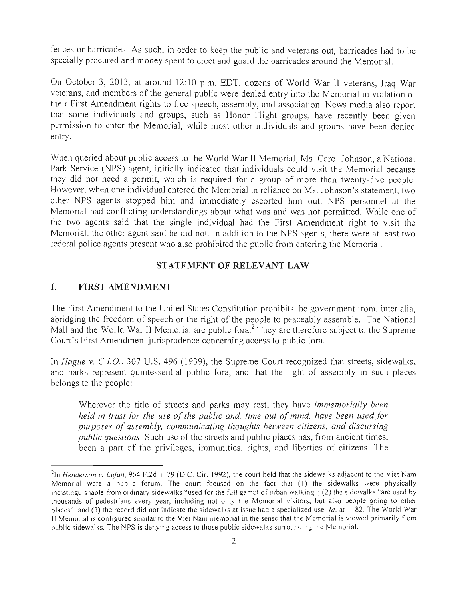fences or banicades. As such, **in** order to keep the public and veterans out, barricades had to be specially procured and money spent to erect and guard the barricades around the Memorial.

On October 3, 2013, at around 12:10 p.m. EDT, dozens of World War II veterans, Iraq War veterans, and members of the general public were denied entry into the Memorial in violation of their First Amendment rights to free speech, assembly, and association. News media also report that some individuals and groups, such as Honor Flight groups, have recently been given permission to enter the Memorial, while most other individuals and groups have been denied entry.

When queried about public access to the World War II Memorial, Ms. Carol Johnson, a National Park Service (NPS) agent, initially indicated that individuals could visit the Memorial because they did not need a permit, which is required for a group of more than twenty-five people. However, when one individual entered the Memorial in reliance on Ms. Johnson's statement, two other NPS agents stopped him and immediately escorted him out. NPS personnel at the Memorial had conflicting understandings about what was and was not permitted. While one of the two agents said that the single individual had the First Amendment right to visit the Memorial, the other agent said he did not. In addition to the NPS agents, there were at least two federal police agents present who also prohibited the public from entering the Memorial.

#### **STATEMENT OF RELEVANT LAW**

# **1. FIRST AMENDMENT**

The First Amendment to the United States Constitution prohibits the government from, inter alia, abridging the freedom of speech or the right of the people to peaceably assemble. The National Mall and the World War II Memorial are public fora.<sup>2</sup> They are therefore subject to the Supreme Court's First Amendment jurisprudence concerning access to public fora.

In *Hague v. C.I.O.*, 307 U.S. 496 (1939), the Supreme Court recognized that streets, sidewalks, and parks represent quintessential public fora, and that the right of assembly in such places belongs to the people:

Wherever the title of streets and parks may rest, they have *immemorially been held in trust for the use of the public and, time out of mind, have been used for purposes of assembly, communicating thoughts between citizens, and discussing public questions.* Such use of the streets and public places has, from ancient times, been a part of the privileges, immunities, rights, and liberties of citizens. The

<sup>&</sup>lt;sup>2</sup>In *Henderson v. Lujan*, 964 F.2d 1179 (D.C. Cir. 1992), the court held that the sidewalks adjacent to the Viet Nam Memorial were a public forum. The court focused on the fact that (1) the sidewalks were physically indistinguishable from ordinary sidewalks "used for the full gamut of urban walking"; (2) the sidewalks "are used by thousands of pedestrians every year, including not only the Memorial visitors, but also people going to other places"; and (3) the record did not indicate the sidewalks at issue had a specialized use.  $Id$  at 1182. The World War II Memorial is configured similar to the Viet Nam memorial in the sense that the Memorial is viewed primarily from public sidewalks. The NPS is denying access to those public sidewalks surrounding the Memorial.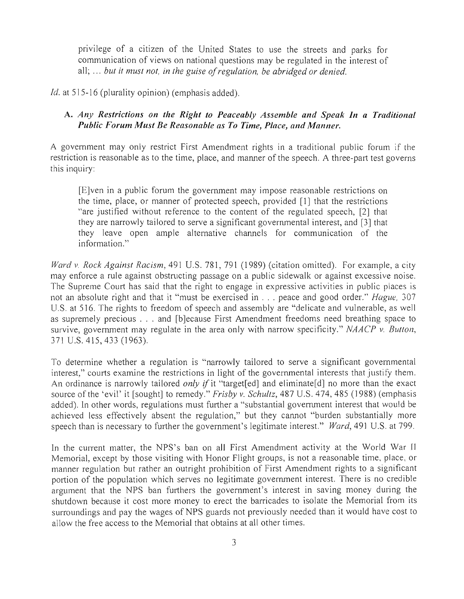privilege of a citizen of the United States to use the streets and parks for communication of views on national questions may be regulated in the interest of all; ... *but it must not, in the guise of regulation, be abridged or denied.* 

*Id.* at 515-16 (plurality opinion) (emphasis added).

# A. *Any Restrictions on the Right to Peaceably Assemble and Speak In a Traditional Public Forum Must Be Reasonable as To Time, Place, and Manner.*

A government may only restrict First Amendment rights in a traditional public forum if the restriction is reasonable as to the time, place, and manner of the speech. A three-part test governs this inquiry:

[E]ven in a public forum the government may impose reasonable restrictions on the time, place, or manner of protected speech, provided [1] that the restrictions "are justified without reference to the content of the regulated speech, [2] that they are narrowly tailored to serve a significant governmental interest, and [3] that they leave open ample alternative channels for communication of the information."

*Ward v. Rock Against Racism,* 491 U.S. 781, 791 (1989) (citation omitted). For example, a city may enforce a rule against obstructing passage on a public sidewalk or against excessive noise. The Supreme Court has said that the right to engage in expressive activities in public places is not an absolute right and that it "must be exercised in ... peace and good order." *Hague, 307*  U.S. at 516. The rights to freedom of speech and assembly are "delicate and vulnerable, as well as supremely precious ... and [b]ecause First Amendment freedoms need breathing space to survive, government may regulate in the area only with narrow specificity." *NAACP v. Button,*  371 U.S.415,433 (1963).

To determine whether a regulation is "narrowly tailored to serve a significant governmental interest," courts examine the restrictions in light of the governmental interests that justify them. An ordinance is narrowly tailored *only* if it "target[ed] and eliminate[d] no more than the exact source of the 'evil' it [sought] to remedy." *Frisby v. Schultz,* 487 U.S. 474, 485 (1988) (emphasis added). In other words, regulations must further a "substantial government interest that would be achieved less effectively absent the regulation," but they cannot "burden substantially more speech than is necessary to further the government's legitimate interest." *Ward,* 491 U.S. at 799.

In the current matter, the NPS's ban on all First Amendment activity at the World War II Memorial, except by those visiting with Honor Flight groups, is not a reasonable time, place, or manner regulation but rather an outright prohibition of First Amendment rights to a significant portion of the population which serves no legitimate government interest. There is no credible argument that the NPS ban furthers the government's interest in saving money during the shutdown because it cost more money to erect the barricades to isolate the Memorial from its surroundings and pay the wages of NPS guards not previously needed than it would have cost to allow the free access to the Memorial that obtains at all other times.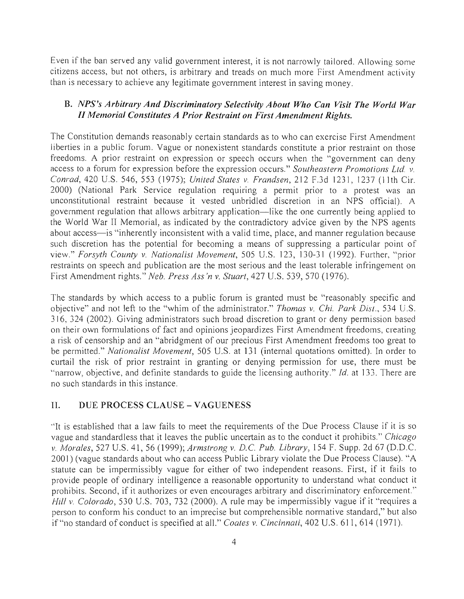Even if the ban served any valid government interest, it is not narrowly tailored. Allowing some citizens access, but not others, is arbitrary and treads on much more First Amendment activity than is necessary to achieve any legitimate government interest in saving money.

### B. *NPS's Arbitrary And Discriminatory Selectivity About Who Can Visit The World War II Memorial Constitutes A Prior Restraint on First Amendment Rights.*

The Constitution demands reasonably certain standards as to who can exercise First Amendment liberties in a public forum. Vague or nonexistent standards constitute a prior restraint on those freedoms. A prior restraint on expression or speech occurs when the "government can deny access to a forum for expression before the expression occurs." *Southeastern Promotions Ltd. v. Conrad,* 420 U.S. 546, 553 (1975); *United States v. Frandsen,* 212 F.3d 1231, 1237 (11th Cir. 2000) (National Park Service regulation requiring a permit prior to a protest was an unconstitutional restraint because it vested unbridled discretion in an NPS official). A government regulation that allows arbitrary application—like the one currently being applied to the World War II Memorial, as indicated by the contradictory advice given by the NPS agents about access-is "inherently inconsistent with a valid time, place, and manner regulation because such discretion has the potential for becoming a means of suppressing a particular point of view." *Forsyth County* v. *Nationalist Movement,* 505 U.S. 123, 130-31 (1992). Further, "prior restraints on speech and publication are the most serious and the least tolerable infringement on First Amendment rights." *Neb. Press Ass 'n* v. *Stuart,* 427 U.S. 539, 570 (1976).

The standards by which access to a public forum is granted must be "reasonably specific and objective" and not left to the "whim of the administrator." *Thomas* v. *Chi. Park Dist.,* 534 U.S. 316, 324 (2002). Giving administrators such broad discretion to grant or deny permission based on their own formulations of fact and opinions jeopardizes First Amendment freedoms, creating a risk of censorship and an "abridgment of our precious First Amendment freedoms too great to be permitted." *Nationalist Movement,* 505 U.S. at 131 (internal quotations omitted). In order to curtail the risk of prior restraint in granting or denying permission for use, there must be "narrow, objective, and definite standards to guide the licensing authority." *Id.* at 133. There are no such standards in this instance.

#### II. DUE PROCESS CLAUSE - VAGUENESS

,'It is established that a law fails to meet the requirements of the Due Process Clause if it is so vague and standardless that it leaves the public uncertain as to the conduct it prohibits." *Chicago v. Morales,* 527 U.S. 41, 56 (1999); *Armstrong v.* D. C. *Pub. Library,* 154 F. Supp. 2d 67 (D.D.C. 2001) (vague standards about who can access Public Library violate the Due Process Clause). "A statute can be impermissibly vague for either of two independent reasons. First, if it fails to provide people of ordinary intelligence a reasonable opportunity to understand what conduct it prohibits. Second, if it authorizes or even encourages arbitrary and discriminatory enforcement." *Hill v. Colorado,* 530 U.S. 703, 732 (2000). A rule may be impermissibly vague if it "requires a person to conform his conduct to an imprecise but comprehensible normative standard," but also if"no standard of conduct is specified at all." *Coates* v. *Cincinnati,* 402 U.S. 611, 614 (1971).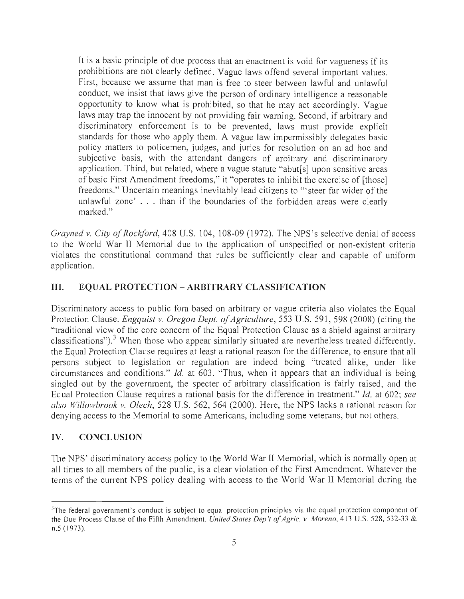It is a basic principle of due process that an enactment is void for vagueness if its prohibitions are not clearly defined. Vague laws offend several important values. First, because we assume that man is free to steer between lawful and unlawful conduct, we insist that laws give the person of ordinary intelligence a reasonable opportunity to know what is prohibited, so that he may act accordingly. Vague laws may trap the innocent by not providing fair warning. Second, if arbitrary and discriminatory enforcement is to be prevented, laws must provide explicit standards for those who apply them. A vague law impermissibly delegates basic policy matters to policemen, judges, and juries for resolution on an ad hoc and subjective basis, with the attendant dangers of arbitrary and discriminatory application. Third, but related, where a vague statute "abut[s] upon sensitive areas of basic First Amendment freedoms," it "operates to inhibit the exercise of [those] freedoms." Uncertain meanings inevitably lead citizens to '''steer far wider of the unlawful zone' ... than if the boundaries of the forbidden areas were clearly marked."

*Grayned v. City of Rockford,* 408 U.S. 104, 108-09 (1972). The NPS's selective denial of access to the World War II Memorial due to the application of unspecified or non-existent criteria violates the constitutional command that rules be sufficiently clear and capable of uniform application.

# **III. EQUAL PROTECTION - ARBITRARY CLASSIFICATION**

Discriminatory access to public fora based on arbitrary or vague criteria also violates the Equal Protection Clause. *Engquist* v. *Oregon Dept. ofAgriculture,* 553 U.S. 591,598 (2008) (citing the "traditional view of the core concern of the Equal Protection Clause as a shield against arbitrary classifications").<sup>3</sup> When those who appear similarly situated are nevertheless treated differently, the Equal Protection Clause requires at least a rational reason for the difference, to ensure that all persons subject to legislation or regulation are indeed being "treated alike, under like circumstances and conditions." *ld.* at 603. "Thus, when it appears that an individual is being singled out by the government, the specter of arbitrary classification is fairly raised, and the Equal Protection Clause requires a rational basis for the difference in treatment." *ld.* at 602; *see also Willowbrook* v. *Olech,* 528 U.S. 562, 564 (2000). Here, the NPS lacks a rational reason for denying access to the Memorial to some Americans, including some veterans, but not others.

# **IV. CONCLUSION**

The NPS' discriminatory access policy to the World War II Memorial, which is normally open at all times to all members of the public, is a clear violation of the First Amendment. Whatever the terms of the current NPS policy dealing with access to the World War II Memorial during the

 ${}^{3}$ The federal government's conduct is subject to equal protection principles via the equal protection component of the Due Process Clause of the Fifth Amendment. *United States Dep't of Agric. v. Moreno*, 413 U.S. 528, 532-33 & n.5 (1973).